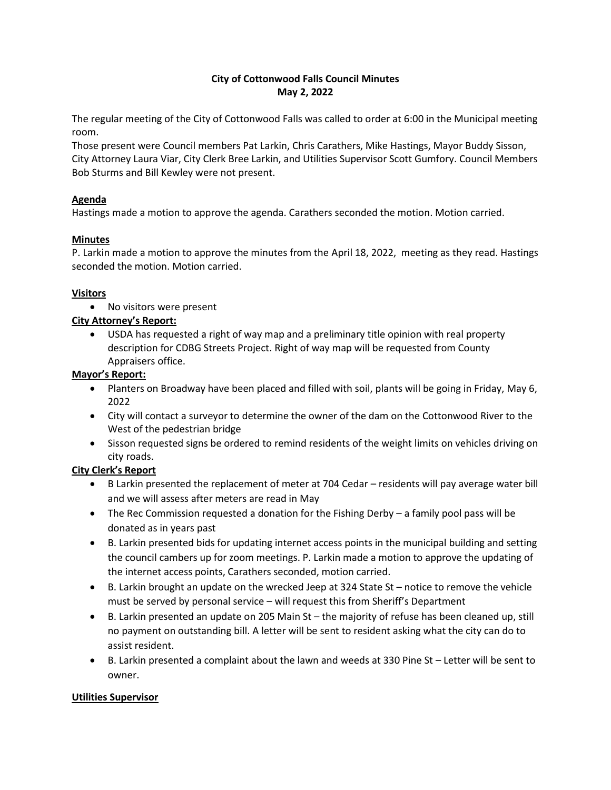# **City of Cottonwood Falls Council Minutes May 2, 2022**

The regular meeting of the City of Cottonwood Falls was called to order at 6:00 in the Municipal meeting room.

Those present were Council members Pat Larkin, Chris Carathers, Mike Hastings, Mayor Buddy Sisson, City Attorney Laura Viar, City Clerk Bree Larkin, and Utilities Supervisor Scott Gumfory. Council Members Bob Sturms and Bill Kewley were not present.

## **Agenda**

Hastings made a motion to approve the agenda. Carathers seconded the motion. Motion carried.

## **Minutes**

P. Larkin made a motion to approve the minutes from the April 18, 2022, meeting as they read. Hastings seconded the motion. Motion carried.

## **Visitors**

• No visitors were present

# **City Attorney's Report:**

• USDA has requested a right of way map and a preliminary title opinion with real property description for CDBG Streets Project. Right of way map will be requested from County Appraisers office.

## **Mayor's Report:**

- Planters on Broadway have been placed and filled with soil, plants will be going in Friday, May 6, 2022
- City will contact a surveyor to determine the owner of the dam on the Cottonwood River to the West of the pedestrian bridge
- Sisson requested signs be ordered to remind residents of the weight limits on vehicles driving on city roads.

# **City Clerk's Report**

- B Larkin presented the replacement of meter at 704 Cedar residents will pay average water bill and we will assess after meters are read in May
- The Rec Commission requested a donation for the Fishing Derby a family pool pass will be donated as in years past
- B. Larkin presented bids for updating internet access points in the municipal building and setting the council cambers up for zoom meetings. P. Larkin made a motion to approve the updating of the internet access points, Carathers seconded, motion carried.
- B. Larkin brought an update on the wrecked Jeep at 324 State St notice to remove the vehicle must be served by personal service – will request this from Sheriff's Department
- B. Larkin presented an update on 205 Main St the majority of refuse has been cleaned up, still no payment on outstanding bill. A letter will be sent to resident asking what the city can do to assist resident.
- B. Larkin presented a complaint about the lawn and weeds at 330 Pine St Letter will be sent to owner.

# **Utilities Supervisor**